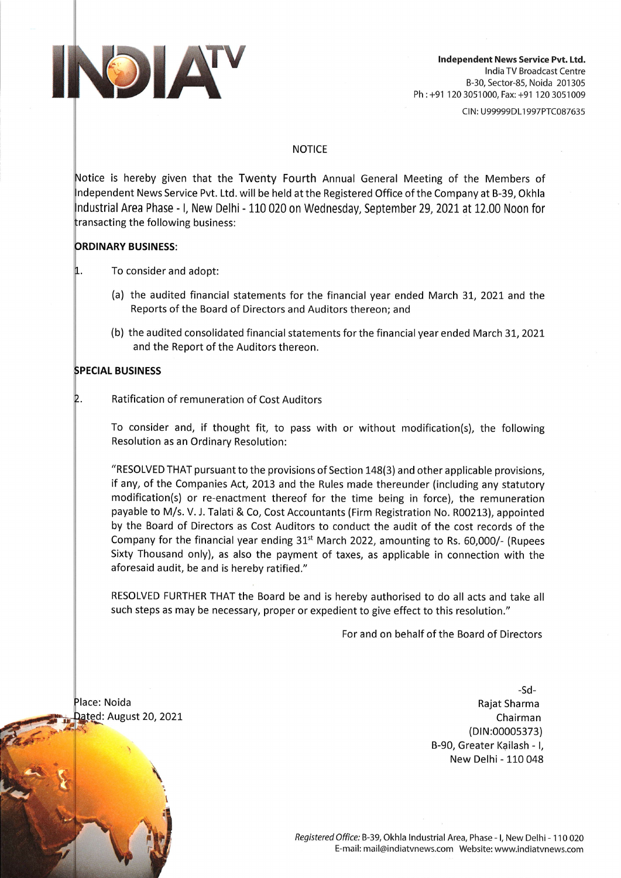

lndia TV Broadcast Centre B-30, Sector-85, Noida 201305 Ph: +91 120 3051000, Fax: +91 120 3051009

CIN: U99999DL1997PTC087635

## NOTICE

Notice is hereby given that the Twenty Fourth Annual General Meeting of the Members of ndependent News Service Pvt. Ltd. will be held at the Registered Office of the Company at B-39, Okhla ndustrial Area Phase - l, New Delhi- 110 020 on Wednesday, September 29,2021at 12.00 Noon for transacting the following business:

## **ORDINARY BUSINESS:**

- To consider and adopt: 11.
	- (a) the audited financial statements for the financial year ended March 31, 2021 and the Reports of the Board of Directors and Auditors thereon; and
	- (b) the audited consolidated financial statements for the financial year ended March 31, 2021 and the Report of the Auditors thereon.

## **SPECIAL BUSINESS**

Ratification of remuneration of Cost Auditors Þ.

> To consider and, if thought fit, to pass with or without modification(s), the following Resolution as an Ordinary Resolution:

> "RESOLVED THAT pursuant to the provisions of Section 148(3) and other applicable provisions, if any, of the Companies Act, 2013 and the Rules made thereunder (including any statutory modification(s) or re-enactment thereof for the time being in force), the remuneration payable to M/s. V. J. Talati & Co, Cost Accountants (Firm Registration No. R00213), appointed by the Board of Directors as Cost Auditors to conduct the audit of the cost records of the Company for the financial year ending  $31<sup>st</sup>$  March 2022, amounting to Rs. 60,000/- (Rupees Sixty Thousand only), as also the payment of taxes, as applicable in connection with the aforesaid audit, be and is hereby ratified."

> RESOLVED FURTHER THAT the Board be and is hereby authorised to do all acts and take all such steps as may be necessary, proper or expedient to give effect to this resolution."

> > For and on behalf of the Board of Directors

lace: Noida ated: August 20, 2021

 $-Sd-$ Rajat Sharma Chairman (DlN:00005373) B-90, Greater Kqilash - l, New Delhi - 110 048

Registered Office:B-39, Okhla lndustrial Area. Phase - l, New Delhi - 1 10 020 E-mail: mail@indiatvnews.com Website: www.indiatvnews.com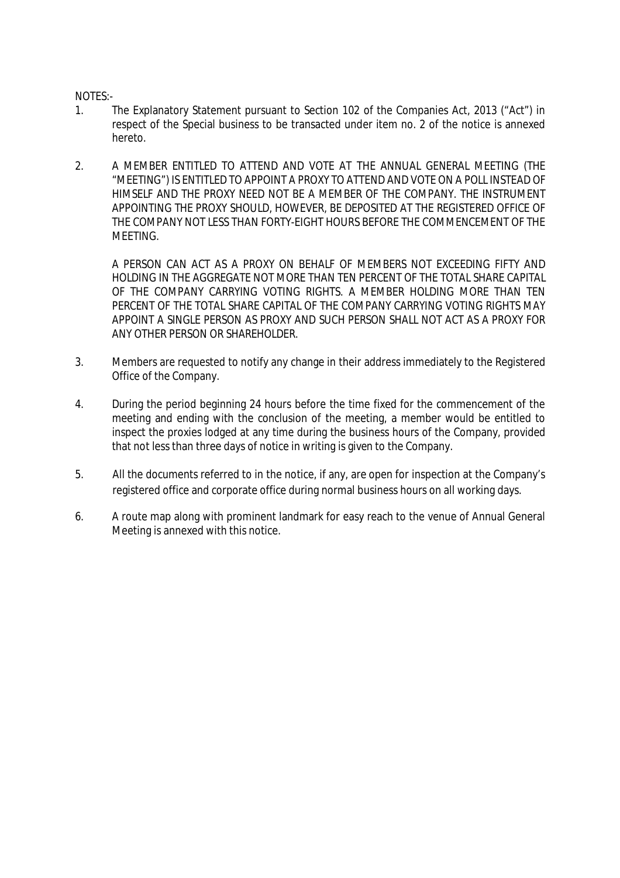NOTES:-

- 1. The Explanatory Statement pursuant to Section 102 of the Companies Act, 2013 ("Act") in respect of the Special business to be transacted under item no. 2 of the notice is annexed hereto.
- 2. A MEMBER ENTITLED TO ATTEND AND VOTE AT THE ANNUAL GENERAL MEETING (THE "MEETING") IS ENTITLED TO APPOINT A PROXY TO ATTEND AND VOTE ON A POLL INSTEAD OF HIMSELF AND THE PROXY NEED NOT BE A MEMBER OF THE COMPANY. THE INSTRUMENT APPOINTING THE PROXY SHOULD, HOWEVER, BE DEPOSITED AT THE REGISTERED OFFICE OF THE COMPANY NOT LESS THAN FORTY-EIGHT HOURS BEFORE THE COMMENCEMENT OF THE **MEETING**

A PERSON CAN ACT AS A PROXY ON BEHALF OF MEMBERS NOT EXCEEDING FIFTY AND HOLDING IN THE AGGREGATE NOT MORE THAN TEN PERCENT OF THE TOTAL SHARE CAPITAL OF THE COMPANY CARRYING VOTING RIGHTS. A MEMBER HOLDING MORE THAN TEN PERCENT OF THE TOTAL SHARE CAPITAL OF THE COMPANY CARRYING VOTING RIGHTS MAY APPOINT A SINGLE PERSON AS PROXY AND SUCH PERSON SHALL NOT ACT AS A PROXY FOR ANY OTHER PERSON OR SHAREHOLDER.

- 3. Members are requested to notify any change in their address immediately to the Registered Office of the Company.
- 4. During the period beginning 24 hours before the time fixed for the commencement of the meeting and ending with the conclusion of the meeting, a member would be entitled to inspect the proxies lodged at any time during the business hours of the Company, provided that not less than three days of notice in writing is given to the Company.
- 5. All the documents referred to in the notice, if any, are open for inspection at the Company's registered office and corporate office during normal business hours on all working days.
- 6. A route map along with prominent landmark for easy reach to the venue of Annual General Meeting is annexed with this notice.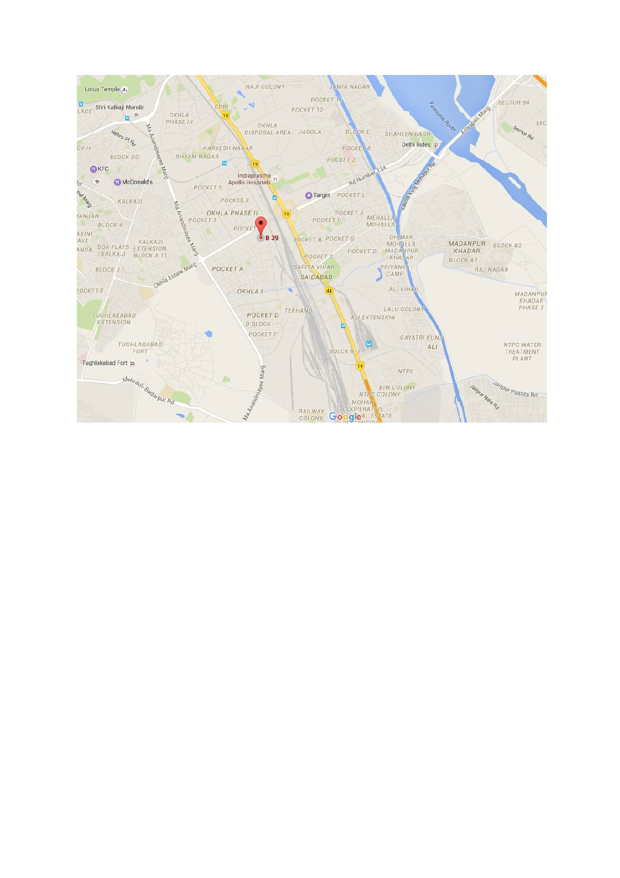